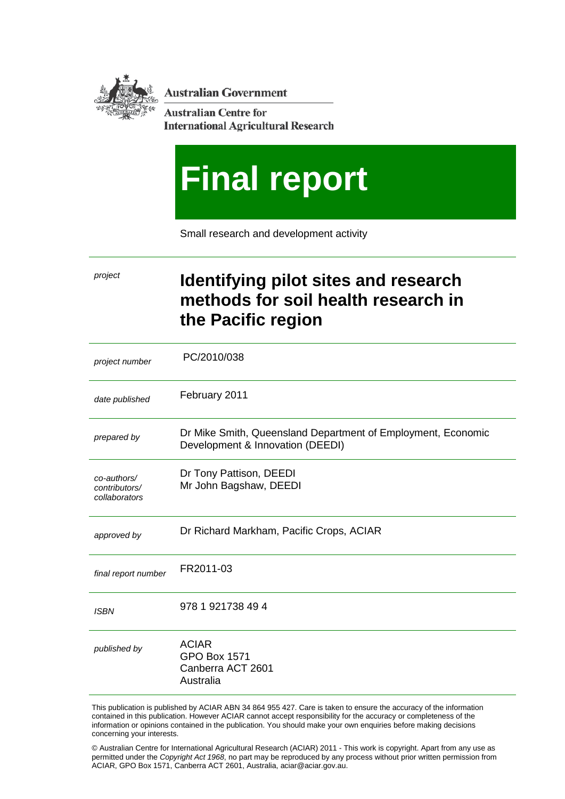**Australian Government** 

**Australian Centre for International Agricultural Research** 

# **Final report**

Small research and development activity

# *project* **Identifying pilot sites and research methods for soil health research in the Pacific region**

| project number                                | PC/2010/038                                                                                      |
|-----------------------------------------------|--------------------------------------------------------------------------------------------------|
| date published                                | February 2011                                                                                    |
| prepared by                                   | Dr Mike Smith, Queensland Department of Employment, Economic<br>Development & Innovation (DEEDI) |
| co-authors/<br>contributors/<br>collaborators | Dr Tony Pattison, DEEDI<br>Mr John Bagshaw, DEEDI                                                |
| approved by                                   | Dr Richard Markham, Pacific Crops, ACIAR                                                         |
| final report number                           | FR2011-03                                                                                        |
| <b>ISBN</b>                                   | 978 1 921738 49 4                                                                                |
| published by                                  | <b>ACIAR</b><br><b>GPO Box 1571</b><br>Canberra ACT 2601<br>Australia                            |

This publication is published by ACIAR ABN 34 864 955 427. Care is taken to ensure the accuracy of the information contained in this publication. However ACIAR cannot accept responsibility for the accuracy or completeness of the information or opinions contained in the publication. You should make your own enquiries before making decisions concerning your interests.

© Australian Centre for International Agricultural Research (ACIAR) 2011 - This work is copyright. Apart from any use as permitted under the *Copyright Act 1968*, no part may be reproduced by any process without prior written permission from ACIAR, GPO Box 1571, Canberra ACT 2601, Australia, aciar@aciar.gov.au.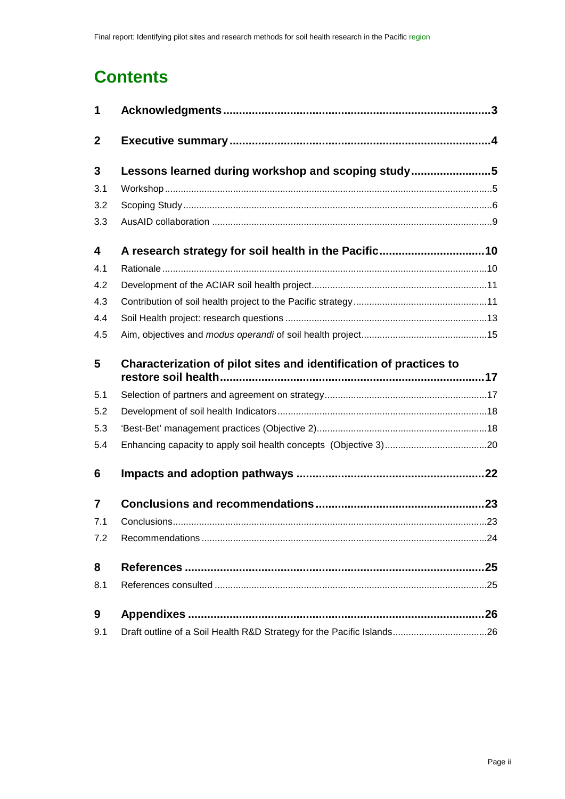# **Contents**

| 1                |                                                                    |  |
|------------------|--------------------------------------------------------------------|--|
| $\boldsymbol{2}$ |                                                                    |  |
| 3                | Lessons learned during workshop and scoping study5                 |  |
| 3.1              |                                                                    |  |
| 3.2              |                                                                    |  |
| 3.3              |                                                                    |  |
| 4                |                                                                    |  |
| 4.1              |                                                                    |  |
| 4.2              |                                                                    |  |
| 4.3              |                                                                    |  |
| 4.4              |                                                                    |  |
| 4.5              |                                                                    |  |
| 5                | Characterization of pilot sites and identification of practices to |  |
| 5.1              |                                                                    |  |
| 5.2              |                                                                    |  |
| 5.3              |                                                                    |  |
| 5.4              |                                                                    |  |
| 6                |                                                                    |  |
| $\overline{7}$   |                                                                    |  |
| 7.1              |                                                                    |  |
| 7.2              |                                                                    |  |
| 8                |                                                                    |  |
| 8.1              |                                                                    |  |
| 9                |                                                                    |  |
| 9.1              |                                                                    |  |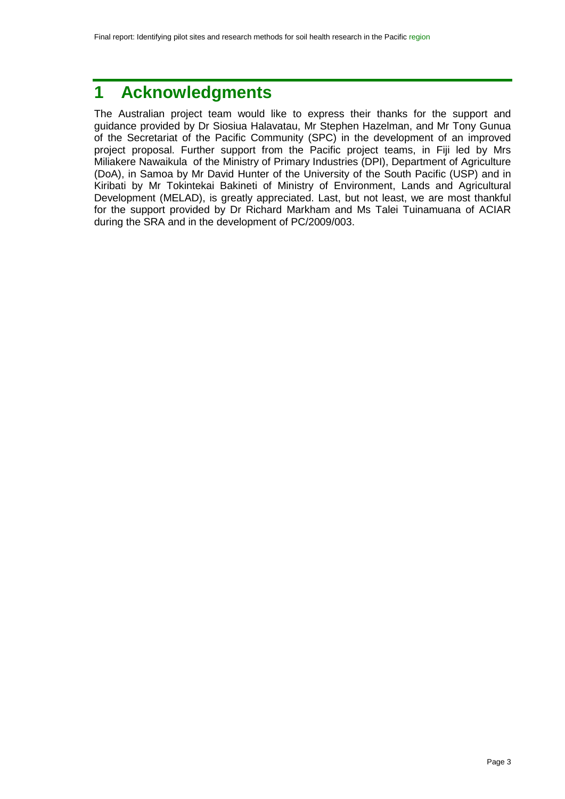# <span id="page-2-0"></span>**1 Acknowledgments**

The Australian project team would like to express their thanks for the support and guidance provided by Dr Siosiua Halavatau, Mr Stephen Hazelman, and Mr Tony Gunua of the Secretariat of the Pacific Community (SPC) in the development of an improved project proposal. Further support from the Pacific project teams, in Fiji led by Mrs Miliakere Nawaikula of the Ministry of Primary Industries (DPI), Department of Agriculture (DoA), in Samoa by Mr David Hunter of the University of the South Pacific (USP) and in Kiribati by Mr Tokintekai Bakineti of Ministry of Environment, Lands and Agricultural Development (MELAD), is greatly appreciated. Last, but not least, we are most thankful for the support provided by Dr Richard Markham and Ms Talei Tuinamuana of ACIAR during the SRA and in the development of PC/2009/003.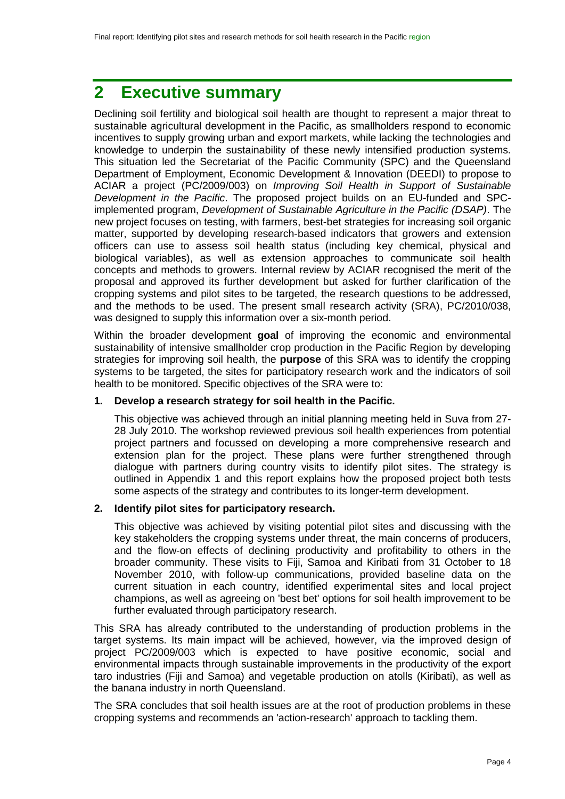# <span id="page-3-0"></span>**2 Executive summary**

Declining soil fertility and biological soil health are thought to represent a major threat to sustainable agricultural development in the Pacific, as smallholders respond to economic incentives to supply growing urban and export markets, while lacking the technologies and knowledge to underpin the sustainability of these newly intensified production systems. This situation led the Secretariat of the Pacific Community (SPC) and the Queensland Department of Employment, Economic Development & Innovation (DEEDI) to propose to ACIAR a project (PC/2009/003) on *Improving Soil Health in Support of Sustainable Development in the Pacific*. The proposed project builds on an EU-funded and SPCimplemented program, *Development of Sustainable Agriculture in the Pacific (DSAP)*. The new project focuses on testing, with farmers, best-bet strategies for increasing soil organic matter, supported by developing research-based indicators that growers and extension officers can use to assess soil health status (including key chemical, physical and biological variables), as well as extension approaches to communicate soil health concepts and methods to growers. Internal review by ACIAR recognised the merit of the proposal and approved its further development but asked for further clarification of the cropping systems and pilot sites to be targeted, the research questions to be addressed, and the methods to be used. The present small research activity (SRA), PC/2010/038, was designed to supply this information over a six-month period.

Within the broader development **goal** of improving the economic and environmental sustainability of intensive smallholder crop production in the Pacific Region by developing strategies for improving soil health, the **purpose** of this SRA was to identify the cropping systems to be targeted, the sites for participatory research work and the indicators of soil health to be monitored. Specific objectives of the SRA were to:

#### **1. Develop a research strategy for soil health in the Pacific.**

This objective was achieved through an initial planning meeting held in Suva from 27- 28 July 2010. The workshop reviewed previous soil health experiences from potential project partners and focussed on developing a more comprehensive research and extension plan for the project. These plans were further strengthened through dialogue with partners during country visits to identify pilot sites. The strategy is outlined in Appendix 1 and this report explains how the proposed project both tests some aspects of the strategy and contributes to its longer-term development.

#### **2. Identify pilot sites for participatory research.**

This objective was achieved by visiting potential pilot sites and discussing with the key stakeholders the cropping systems under threat, the main concerns of producers, and the flow-on effects of declining productivity and profitability to others in the broader community. These visits to Fiji, Samoa and Kiribati from 31 October to 18 November 2010, with follow-up communications, provided baseline data on the current situation in each country, identified experimental sites and local project champions, as well as agreeing on 'best bet' options for soil health improvement to be further evaluated through participatory research.

This SRA has already contributed to the understanding of production problems in the target systems. Its main impact will be achieved, however, via the improved design of project PC/2009/003 which is expected to have positive economic, social and environmental impacts through sustainable improvements in the productivity of the export taro industries (Fiji and Samoa) and vegetable production on atolls (Kiribati), as well as the banana industry in north Queensland.

The SRA concludes that soil health issues are at the root of production problems in these cropping systems and recommends an 'action-research' approach to tackling them.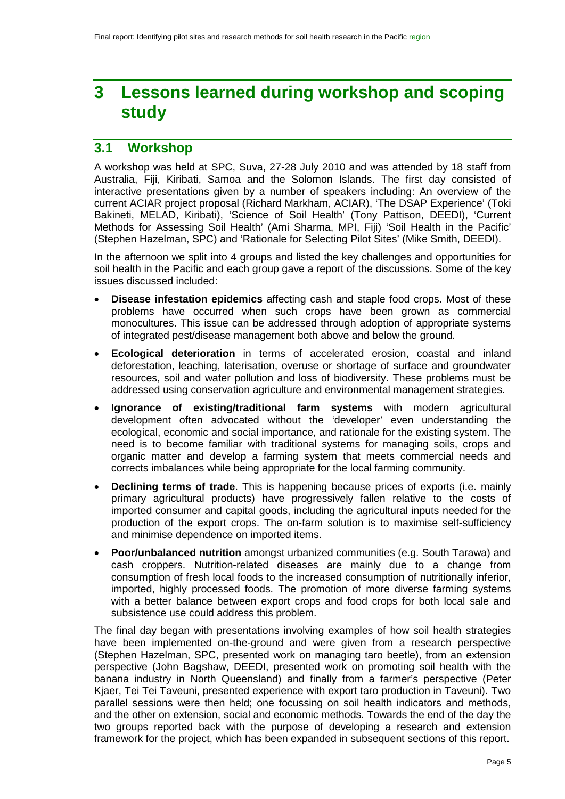# <span id="page-4-0"></span>**3 Lessons learned during workshop and scoping study**

## <span id="page-4-1"></span>**3.1 Workshop**

A workshop was held at SPC, Suva, 27-28 July 2010 and was attended by 18 staff from Australia, Fiji, Kiribati, Samoa and the Solomon Islands. The first day consisted of interactive presentations given by a number of speakers including: An overview of the current ACIAR project proposal (Richard Markham, ACIAR), 'The DSAP Experience' (Toki Bakineti, MELAD, Kiribati), 'Science of Soil Health' (Tony Pattison, DEEDI), 'Current Methods for Assessing Soil Health' (Ami Sharma, MPI, Fiji) 'Soil Health in the Pacific' (Stephen Hazelman, SPC) and 'Rationale for Selecting Pilot Sites' (Mike Smith, DEEDI).

In the afternoon we split into 4 groups and listed the key challenges and opportunities for soil health in the Pacific and each group gave a report of the discussions. Some of the key issues discussed included:

- **Disease infestation epidemics** affecting cash and staple food crops. Most of these problems have occurred when such crops have been grown as commercial monocultures. This issue can be addressed through adoption of appropriate systems of integrated pest/disease management both above and below the ground.
- **Ecological deterioration** in terms of accelerated erosion, coastal and inland deforestation, leaching, laterisation, overuse or shortage of surface and groundwater resources, soil and water pollution and loss of biodiversity. These problems must be addressed using conservation agriculture and environmental management strategies.
- **Ignorance of existing/traditional farm systems** with modern agricultural development often advocated without the 'developer' even understanding the ecological, economic and social importance, and rationale for the existing system. The need is to become familiar with traditional systems for managing soils, crops and organic matter and develop a farming system that meets commercial needs and corrects imbalances while being appropriate for the local farming community.
- **Declining terms of trade**. This is happening because prices of exports (i.e. mainly primary agricultural products) have progressively fallen relative to the costs of imported consumer and capital goods, including the agricultural inputs needed for the production of the export crops. The on-farm solution is to maximise self-sufficiency and minimise dependence on imported items.
- **Poor/unbalanced nutrition** amongst urbanized communities (e.g. South Tarawa) and cash croppers. Nutrition-related diseases are mainly due to a change from consumption of fresh local foods to the increased consumption of nutritionally inferior, imported, highly processed foods. The promotion of more diverse farming systems with a better balance between export crops and food crops for both local sale and subsistence use could address this problem.

The final day began with presentations involving examples of how soil health strategies have been implemented on-the-ground and were given from a research perspective (Stephen Hazelman, SPC, presented work on managing taro beetle), from an extension perspective (John Bagshaw, DEEDI, presented work on promoting soil health with the banana industry in North Queensland) and finally from a farmer's perspective (Peter Kjaer, Tei Tei Taveuni, presented experience with export taro production in Taveuni). Two parallel sessions were then held; one focussing on soil health indicators and methods, and the other on extension, social and economic methods. Towards the end of the day the two groups reported back with the purpose of developing a research and extension framework for the project, which has been expanded in subsequent sections of this report.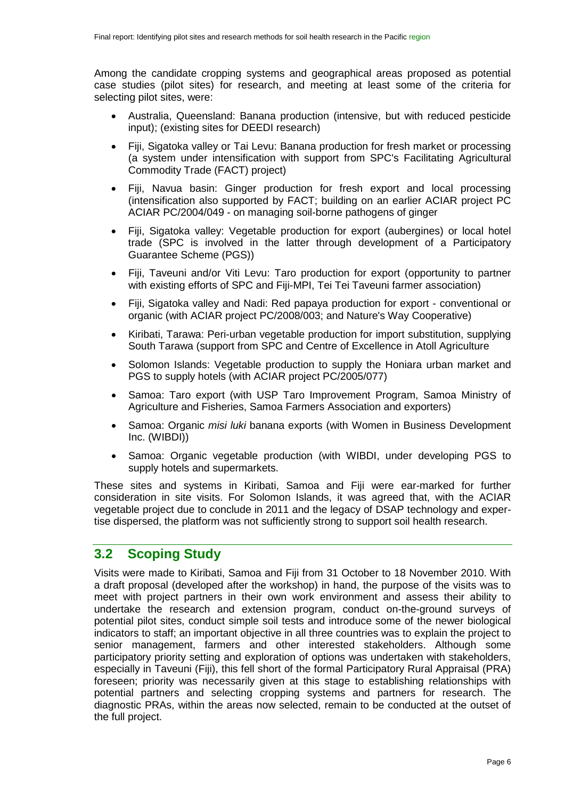Among the candidate cropping systems and geographical areas proposed as potential case studies (pilot sites) for research, and meeting at least some of the criteria for selecting pilot sites, were:

- Australia, Queensland: Banana production (intensive, but with reduced pesticide input); (existing sites for DEEDI research)
- Fiji, Sigatoka valley or Tai Levu: Banana production for fresh market or processing (a system under intensification with support from SPC's Facilitating Agricultural Commodity Trade (FACT) project)
- Fiji, Navua basin: Ginger production for fresh export and local processing (intensification also supported by FACT; building on an earlier ACIAR project PC ACIAR PC/2004/049 - on managing soil-borne pathogens of ginger
- Fiji, Sigatoka valley: Vegetable production for export (aubergines) or local hotel trade (SPC is involved in the latter through development of a Participatory Guarantee Scheme (PGS))
- Fiji, Taveuni and/or Viti Levu: Taro production for export (opportunity to partner with existing efforts of SPC and Fiji-MPI, Tei Tei Taveuni farmer association)
- Fiji, Sigatoka valley and Nadi: Red papaya production for export conventional or organic (with ACIAR project PC/2008/003; and Nature's Way Cooperative)
- Kiribati, Tarawa: Peri-urban vegetable production for import substitution, supplying South Tarawa (support from SPC and Centre of Excellence in Atoll Agriculture
- Solomon Islands: Vegetable production to supply the Honiara urban market and PGS to supply hotels (with ACIAR project PC/2005/077)
- Samoa: Taro export (with USP Taro Improvement Program, Samoa Ministry of Agriculture and Fisheries, Samoa Farmers Association and exporters)
- Samoa: Organic *misi luki* banana exports (with Women in Business Development Inc. (WIBDI))
- Samoa: Organic vegetable production (with WIBDI, under developing PGS to supply hotels and supermarkets.

These sites and systems in Kiribati, Samoa and Fiji were ear-marked for further consideration in site visits. For Solomon Islands, it was agreed that, with the ACIAR vegetable project due to conclude in 2011 and the legacy of DSAP technology and expertise dispersed, the platform was not sufficiently strong to support soil health research.

# <span id="page-5-0"></span>**3.2 Scoping Study**

Visits were made to Kiribati, Samoa and Fiji from 31 October to 18 November 2010. With a draft proposal (developed after the workshop) in hand, the purpose of the visits was to meet with project partners in their own work environment and assess their ability to undertake the research and extension program, conduct on-the-ground surveys of potential pilot sites, conduct simple soil tests and introduce some of the newer biological indicators to staff; an important objective in all three countries was to explain the project to senior management, farmers and other interested stakeholders. Although some participatory priority setting and exploration of options was undertaken with stakeholders, especially in Taveuni (Fiji), this fell short of the formal Participatory Rural Appraisal (PRA) foreseen; priority was necessarily given at this stage to establishing relationships with potential partners and selecting cropping systems and partners for research. The diagnostic PRAs, within the areas now selected, remain to be conducted at the outset of the full project.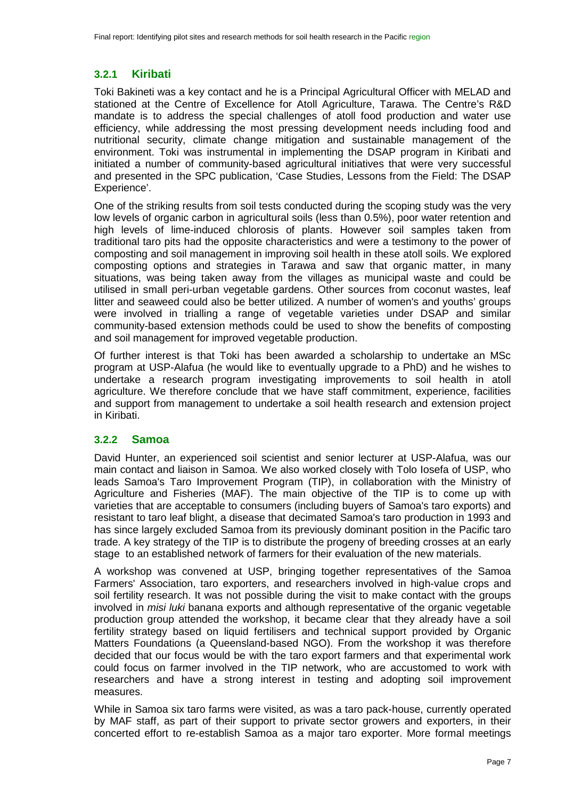#### **3.2.1 Kiribati**

Toki Bakineti was a key contact and he is a Principal Agricultural Officer with MELAD and stationed at the Centre of Excellence for Atoll Agriculture, Tarawa. The Centre's R&D mandate is to address the special challenges of atoll food production and water use efficiency, while addressing the most pressing development needs including food and nutritional security, climate change mitigation and sustainable management of the environment. Toki was instrumental in implementing the DSAP program in Kiribati and initiated a number of community-based agricultural initiatives that were very successful and presented in the SPC publication, 'Case Studies, Lessons from the Field: The DSAP Experience'.

One of the striking results from soil tests conducted during the scoping study was the very low levels of organic carbon in agricultural soils (less than 0.5%), poor water retention and high levels of lime-induced chlorosis of plants. However soil samples taken from traditional taro pits had the opposite characteristics and were a testimony to the power of composting and soil management in improving soil health in these atoll soils. We explored composting options and strategies in Tarawa and saw that organic matter, in many situations, was being taken away from the villages as municipal waste and could be utilised in small peri-urban vegetable gardens. Other sources from coconut wastes, leaf litter and seaweed could also be better utilized. A number of women's and youths' groups were involved in trialling a range of vegetable varieties under DSAP and similar community-based extension methods could be used to show the benefits of composting and soil management for improved vegetable production.

Of further interest is that Toki has been awarded a scholarship to undertake an MSc program at USP-Alafua (he would like to eventually upgrade to a PhD) and he wishes to undertake a research program investigating improvements to soil health in atoll agriculture. We therefore conclude that we have staff commitment, experience, facilities and support from management to undertake a soil health research and extension project in Kiribati.

#### **3.2.2 Samoa**

David Hunter, an experienced soil scientist and senior lecturer at USP-Alafua, was our main contact and liaison in Samoa. We also worked closely with Tolo Iosefa of USP, who leads Samoa's Taro Improvement Program (TIP), in collaboration with the Ministry of Agriculture and Fisheries (MAF). The main objective of the TIP is to come up with varieties that are acceptable to consumers (including buyers of Samoa's taro exports) and resistant to taro leaf blight, a disease that decimated Samoa's taro production in 1993 and has since largely excluded Samoa from its previously dominant position in the Pacific taro trade. A key strategy of the TIP is to distribute the progeny of breeding crosses at an early stage to an established network of farmers for their evaluation of the new materials.

A workshop was convened at USP, bringing together representatives of the Samoa Farmers' Association, taro exporters, and researchers involved in high-value crops and soil fertility research. It was not possible during the visit to make contact with the groups involved in *misi luki* banana exports and although representative of the organic vegetable production group attended the workshop, it became clear that they already have a soil fertility strategy based on liquid fertilisers and technical support provided by Organic Matters Foundations (a Queensland-based NGO). From the workshop it was therefore decided that our focus would be with the taro export farmers and that experimental work could focus on farmer involved in the TIP network, who are accustomed to work with researchers and have a strong interest in testing and adopting soil improvement measures.

While in Samoa six taro farms were visited, as was a taro pack-house, currently operated by MAF staff, as part of their support to private sector growers and exporters, in their concerted effort to re-establish Samoa as a major taro exporter. More formal meetings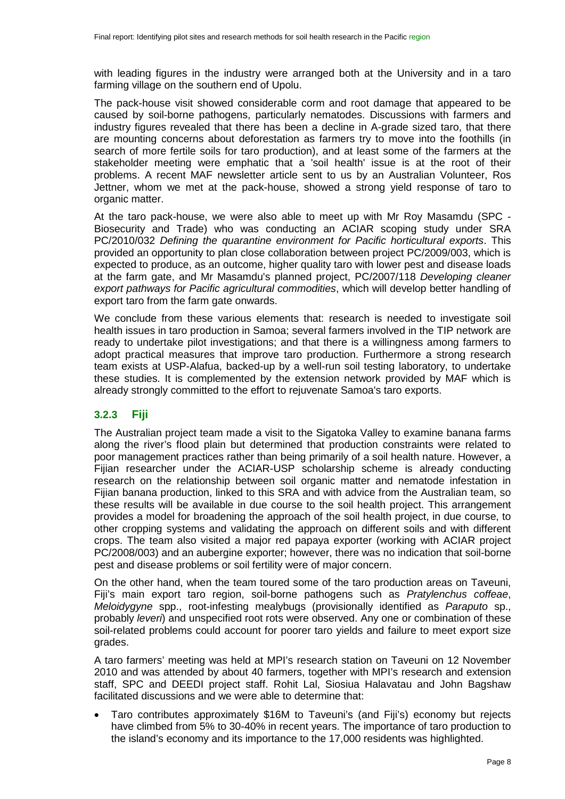with leading figures in the industry were arranged both at the University and in a taro farming village on the southern end of Upolu.

The pack-house visit showed considerable corm and root damage that appeared to be caused by soil-borne pathogens, particularly nematodes. Discussions with farmers and industry figures revealed that there has been a decline in A-grade sized taro, that there are mounting concerns about deforestation as farmers try to move into the foothills (in search of more fertile soils for taro production), and at least some of the farmers at the stakeholder meeting were emphatic that a 'soil health' issue is at the root of their problems. A recent MAF newsletter article sent to us by an Australian Volunteer, Ros Jettner, whom we met at the pack-house, showed a strong yield response of taro to organic matter.

At the taro pack-house, we were also able to meet up with Mr Roy Masamdu (SPC - Biosecurity and Trade) who was conducting an ACIAR scoping study under SRA PC/2010/032 *Defining the quarantine environment for Pacific horticultural exports*. This provided an opportunity to plan close collaboration between project PC/2009/003, which is expected to produce, as an outcome, higher quality taro with lower pest and disease loads at the farm gate, and Mr Masamdu's planned project, PC/2007/118 *Developing cleaner export pathways for Pacific agricultural commodities*, which will develop better handling of export taro from the farm gate onwards.

We conclude from these various elements that: research is needed to investigate soil health issues in taro production in Samoa; several farmers involved in the TIP network are ready to undertake pilot investigations; and that there is a willingness among farmers to adopt practical measures that improve taro production. Furthermore a strong research team exists at USP-Alafua, backed-up by a well-run soil testing laboratory, to undertake these studies. It is complemented by the extension network provided by MAF which is already strongly committed to the effort to rejuvenate Samoa's taro exports.

#### **3.2.3 Fiji**

The Australian project team made a visit to the Sigatoka Valley to examine banana farms along the river's flood plain but determined that production constraints were related to poor management practices rather than being primarily of a soil health nature. However, a Fijian researcher under the ACIAR-USP scholarship scheme is already conducting research on the relationship between soil organic matter and nematode infestation in Fijian banana production, linked to this SRA and with advice from the Australian team, so these results will be available in due course to the soil health project. This arrangement provides a model for broadening the approach of the soil health project, in due course, to other cropping systems and validating the approach on different soils and with different crops. The team also visited a major red papaya exporter (working with ACIAR project PC/2008/003) and an aubergine exporter; however, there was no indication that soil-borne pest and disease problems or soil fertility were of major concern.

On the other hand, when the team toured some of the taro production areas on Taveuni, Fiji's main export taro region, soil-borne pathogens such as *Pratylenchus coffeae*, *Meloidygyne* spp., root-infesting mealybugs (provisionally identified as *Paraputo* sp., probably *leveri*) and unspecified root rots were observed. Any one or combination of these soil-related problems could account for poorer taro yields and failure to meet export size grades.

A taro farmers' meeting was held at MPI's research station on Taveuni on 12 November 2010 and was attended by about 40 farmers, together with MPI's research and extension staff, SPC and DEEDI project staff. Rohit Lal, Siosiua Halavatau and John Bagshaw facilitated discussions and we were able to determine that:

• Taro contributes approximately \$16M to Taveuni's (and Fiji's) economy but rejects have climbed from 5% to 30-40% in recent years. The importance of taro production to the island's economy and its importance to the 17,000 residents was highlighted.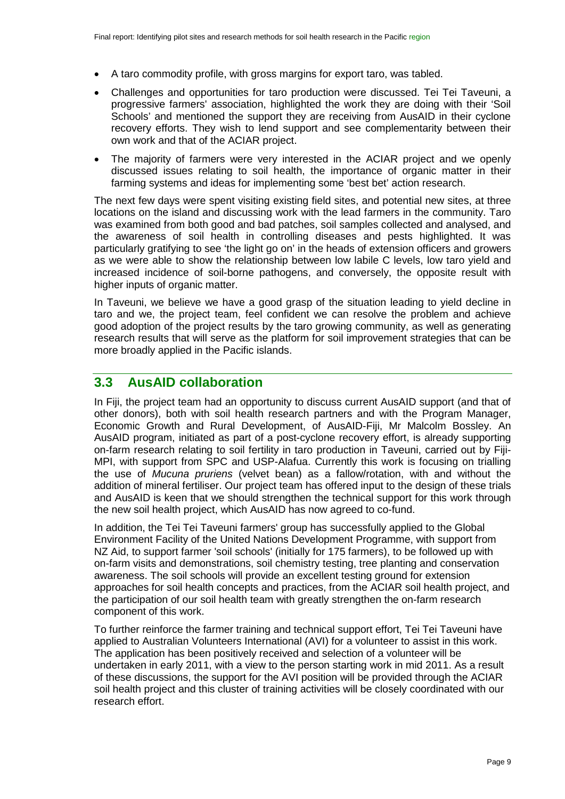- A taro commodity profile, with gross margins for export taro, was tabled.
- Challenges and opportunities for taro production were discussed. Tei Tei Taveuni, a progressive farmers' association, highlighted the work they are doing with their 'Soil Schools' and mentioned the support they are receiving from AusAID in their cyclone recovery efforts. They wish to lend support and see complementarity between their own work and that of the ACIAR project.
- The majority of farmers were very interested in the ACIAR project and we openly discussed issues relating to soil health, the importance of organic matter in their farming systems and ideas for implementing some 'best bet' action research.

The next few days were spent visiting existing field sites, and potential new sites, at three locations on the island and discussing work with the lead farmers in the community. Taro was examined from both good and bad patches, soil samples collected and analysed, and the awareness of soil health in controlling diseases and pests highlighted. It was particularly gratifying to see 'the light go on' in the heads of extension officers and growers as we were able to show the relationship between low labile C levels, low taro yield and increased incidence of soil-borne pathogens, and conversely, the opposite result with higher inputs of organic matter.

In Taveuni, we believe we have a good grasp of the situation leading to yield decline in taro and we, the project team, feel confident we can resolve the problem and achieve good adoption of the project results by the taro growing community, as well as generating research results that will serve as the platform for soil improvement strategies that can be more broadly applied in the Pacific islands.

## <span id="page-8-0"></span>**3.3 AusAID collaboration**

In Fiji, the project team had an opportunity to discuss current AusAID support (and that of other donors), both with soil health research partners and with the Program Manager, Economic Growth and Rural Development, of AusAID-Fiji, Mr Malcolm Bossley. An AusAID program, initiated as part of a post-cyclone recovery effort, is already supporting on-farm research relating to soil fertility in taro production in Taveuni, carried out by Fiji-MPI, with support from SPC and USP-Alafua. Currently this work is focusing on trialling the use of *Mucuna pruriens* (velvet bean) as a fallow/rotation, with and without the addition of mineral fertiliser. Our project team has offered input to the design of these trials and AusAID is keen that we should strengthen the technical support for this work through the new soil health project, which AusAID has now agreed to co-fund.

In addition, the Tei Tei Taveuni farmers' group has successfully applied to the Global Environment Facility of the United Nations Development Programme, with support from NZ Aid, to support farmer 'soil schools' (initially for 175 farmers), to be followed up with on-farm visits and demonstrations, soil chemistry testing, tree planting and conservation awareness. The soil schools will provide an excellent testing ground for extension approaches for soil health concepts and practices, from the ACIAR soil health project, and the participation of our soil health team with greatly strengthen the on-farm research component of this work.

To further reinforce the farmer training and technical support effort, Tei Tei Taveuni have applied to Australian Volunteers International (AVI) for a volunteer to assist in this work. The application has been positively received and selection of a volunteer will be undertaken in early 2011, with a view to the person starting work in mid 2011. As a result of these discussions, the support for the AVI position will be provided through the ACIAR soil health project and this cluster of training activities will be closely coordinated with our research effort.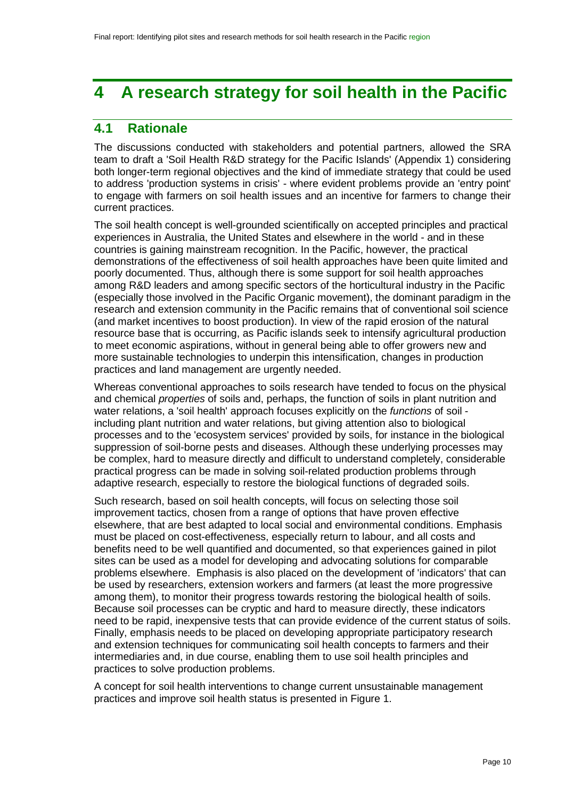# <span id="page-9-0"></span>**4 A research strategy for soil health in the Pacific**

# <span id="page-9-1"></span>**4.1 Rationale**

The discussions conducted with stakeholders and potential partners, allowed the SRA team to draft a 'Soil Health R&D strategy for the Pacific Islands' (Appendix 1) considering both longer-term regional objectives and the kind of immediate strategy that could be used to address 'production systems in crisis' - where evident problems provide an 'entry point' to engage with farmers on soil health issues and an incentive for farmers to change their current practices.

The soil health concept is well-grounded scientifically on accepted principles and practical experiences in Australia, the United States and elsewhere in the world - and in these countries is gaining mainstream recognition. In the Pacific, however, the practical demonstrations of the effectiveness of soil health approaches have been quite limited and poorly documented. Thus, although there is some support for soil health approaches among R&D leaders and among specific sectors of the horticultural industry in the Pacific (especially those involved in the Pacific Organic movement), the dominant paradigm in the research and extension community in the Pacific remains that of conventional soil science (and market incentives to boost production). In view of the rapid erosion of the natural resource base that is occurring, as Pacific islands seek to intensify agricultural production to meet economic aspirations, without in general being able to offer growers new and more sustainable technologies to underpin this intensification, changes in production practices and land management are urgently needed.

Whereas conventional approaches to soils research have tended to focus on the physical and chemical *properties* of soils and, perhaps, the function of soils in plant nutrition and water relations, a 'soil health' approach focuses explicitly on the *functions* of soil including plant nutrition and water relations, but giving attention also to biological processes and to the 'ecosystem services' provided by soils, for instance in the biological suppression of soil-borne pests and diseases. Although these underlying processes may be complex, hard to measure directly and difficult to understand completely, considerable practical progress can be made in solving soil-related production problems through adaptive research, especially to restore the biological functions of degraded soils.

Such research, based on soil health concepts, will focus on selecting those soil improvement tactics, chosen from a range of options that have proven effective elsewhere, that are best adapted to local social and environmental conditions. Emphasis must be placed on cost-effectiveness, especially return to labour, and all costs and benefits need to be well quantified and documented, so that experiences gained in pilot sites can be used as a model for developing and advocating solutions for comparable problems elsewhere. Emphasis is also placed on the development of 'indicators' that can be used by researchers, extension workers and farmers (at least the more progressive among them), to monitor their progress towards restoring the biological health of soils. Because soil processes can be cryptic and hard to measure directly, these indicators need to be rapid, inexpensive tests that can provide evidence of the current status of soils. Finally, emphasis needs to be placed on developing appropriate participatory research and extension techniques for communicating soil health concepts to farmers and their intermediaries and, in due course, enabling them to use soil health principles and practices to solve production problems.

A concept for soil health interventions to change current unsustainable management practices and improve soil health status is presented in Figure 1.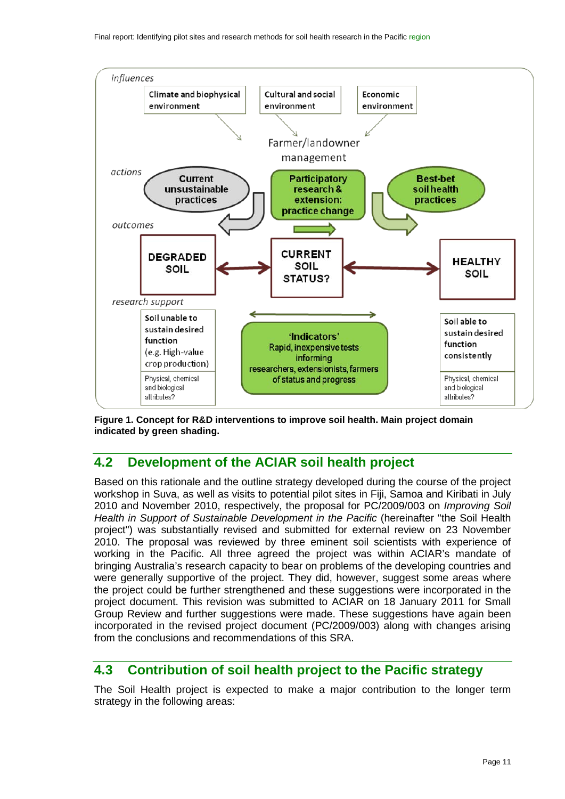

**Figure 1. Concept for R&D interventions to improve soil health. Main project domain indicated by green shading.**

## <span id="page-10-0"></span>**4.2 Development of the ACIAR soil health project**

Based on this rationale and the outline strategy developed during the course of the project workshop in Suva, as well as visits to potential pilot sites in Fiii, Samoa and Kiribati in July 2010 and November 2010, respectively, the proposal for PC/2009/003 on *Improving Soil Health in Support of Sustainable Development in the Pacific* (hereinafter "the Soil Health project") was substantially revised and submitted for external review on 23 November 2010. The proposal was reviewed by three eminent soil scientists with experience of working in the Pacific. All three agreed the project was within ACIAR's mandate of bringing Australia's research capacity to bear on problems of the developing countries and were generally supportive of the project. They did, however, suggest some areas where the project could be further strengthened and these suggestions were incorporated in the project document. This revision was submitted to ACIAR on 18 January 2011 for Small Group Review and further suggestions were made. These suggestions have again been incorporated in the revised project document (PC/2009/003) along with changes arising from the conclusions and recommendations of this SRA.

## <span id="page-10-1"></span>**4.3 Contribution of soil health project to the Pacific strategy**

The Soil Health project is expected to make a major contribution to the longer term strategy in the following areas: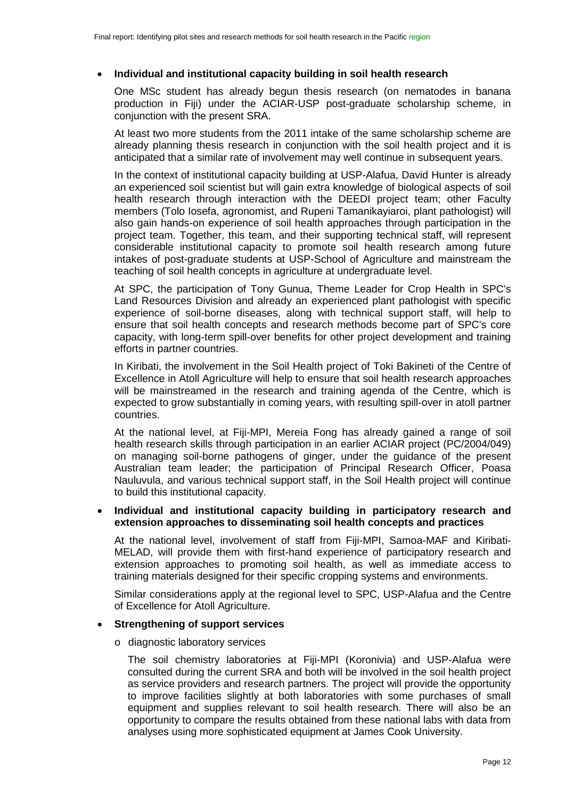#### • **Individual and institutional capacity building in soil health research**

One MSc student has already begun thesis research (on nematodes in banana production in Fiji) under the ACIAR-USP post-graduate scholarship scheme, in conjunction with the present SRA.

At least two more students from the 2011 intake of the same scholarship scheme are already planning thesis research in conjunction with the soil health project and it is anticipated that a similar rate of involvement may well continue in subsequent years.

In the context of institutional capacity building at USP-Alafua, David Hunter is already an experienced soil scientist but will gain extra knowledge of biological aspects of soil health research through interaction with the DEEDI project team; other Faculty members (Tolo Iosefa, agronomist, and Rupeni Tamanikayiaroi, plant pathologist) will also gain hands-on experience of soil health approaches through participation in the project team. Together, this team, and their supporting technical staff, will represent considerable institutional capacity to promote soil health research among future intakes of post-graduate students at USP-School of Agriculture and mainstream the teaching of soil health concepts in agriculture at undergraduate level.

At SPC, the participation of Tony Gunua, Theme Leader for Crop Health in SPC's Land Resources Division and already an experienced plant pathologist with specific experience of soil-borne diseases, along with technical support staff, will help to ensure that soil health concepts and research methods become part of SPC's core capacity, with long-term spill-over benefits for other project development and training efforts in partner countries.

In Kiribati, the involvement in the Soil Health project of Toki Bakineti of the Centre of Excellence in Atoll Agriculture will help to ensure that soil health research approaches will be mainstreamed in the research and training agenda of the Centre, which is expected to grow substantially in coming years, with resulting spill-over in atoll partner countries.

At the national level, at Fiji-MPI, Mereia Fong has already gained a range of soil health research skills through participation in an earlier ACIAR project (PC/2004/049) on managing soil-borne pathogens of ginger, under the guidance of the present Australian team leader; the participation of Principal Research Officer, Poasa Nauluvula, and various technical support staff, in the Soil Health project will continue to build this institutional capacity.

#### • **Individual and institutional capacity building in participatory research and extension approaches to disseminating soil health concepts and practices**

At the national level, involvement of staff from Fiji-MPI, Samoa-MAF and Kiribati-MELAD, will provide them with first-hand experience of participatory research and extension approaches to promoting soil health, as well as immediate access to training materials designed for their specific cropping systems and environments.

Similar considerations apply at the regional level to SPC, USP-Alafua and the Centre of Excellence for Atoll Agriculture.

#### • **Strengthening of support services**

o diagnostic laboratory services

The soil chemistry laboratories at Fiji-MPI (Koronivia) and USP-Alafua were consulted during the current SRA and both will be involved in the soil health project as service providers and research partners. The project will provide the opportunity to improve facilities slightly at both laboratories with some purchases of small equipment and supplies relevant to soil health research. There will also be an opportunity to compare the results obtained from these national labs with data from analyses using more sophisticated equipment at James Cook University.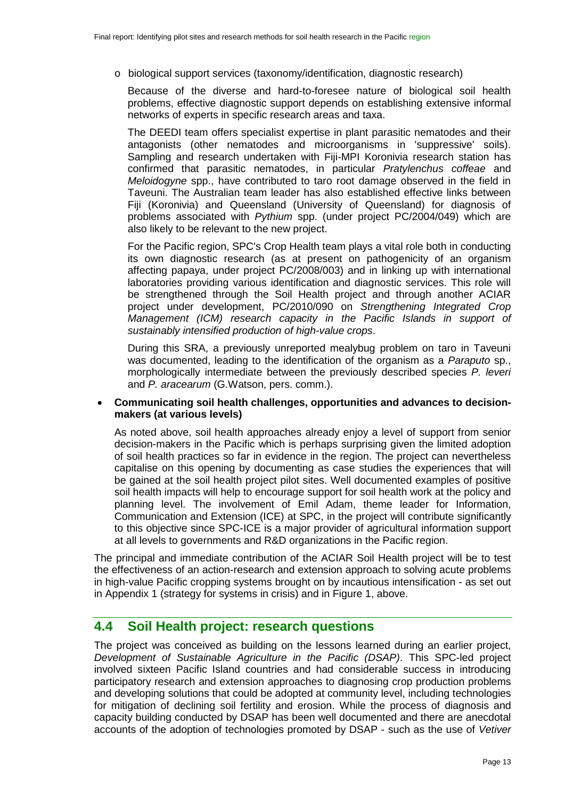o biological support services (taxonomy/identification, diagnostic research)

Because of the diverse and hard-to-foresee nature of biological soil health problems, effective diagnostic support depends on establishing extensive informal networks of experts in specific research areas and taxa.

The DEEDI team offers specialist expertise in plant parasitic nematodes and their antagonists (other nematodes and microorganisms in 'suppressive' soils). Sampling and research undertaken with Fiji-MPI Koronivia research station has confirmed that parasitic nematodes, in particular *Pratylenchus coffeae* and *Meloidogyne* spp., have contributed to taro root damage observed in the field in Taveuni. The Australian team leader has also established effective links between Fiji (Koronivia) and Queensland (University of Queensland) for diagnosis of problems associated with *Pythium* spp. (under project PC/2004/049) which are also likely to be relevant to the new project.

For the Pacific region, SPC's Crop Health team plays a vital role both in conducting its own diagnostic research (as at present on pathogenicity of an organism affecting papaya, under project PC/2008/003) and in linking up with international laboratories providing various identification and diagnostic services. This role will be strengthened through the Soil Health project and through another ACIAR project under development, PC/2010/090 on *Strengthening Integrated Crop Management (ICM) research capacity in the Pacific Islands in support of sustainably intensified production of high-value crops*.

During this SRA, a previously unreported mealybug problem on taro in Taveuni was documented, leading to the identification of the organism as a *Paraputo* sp., morphologically intermediate between the previously described species *P. leveri* and *P. aracearum* (G.Watson, pers. comm.).

#### • **Communicating soil health challenges, opportunities and advances to decisionmakers (at various levels)**

As noted above, soil health approaches already enjoy a level of support from senior decision-makers in the Pacific which is perhaps surprising given the limited adoption of soil health practices so far in evidence in the region. The project can nevertheless capitalise on this opening by documenting as case studies the experiences that will be gained at the soil health project pilot sites. Well documented examples of positive soil health impacts will help to encourage support for soil health work at the policy and planning level. The involvement of Emil Adam, theme leader for Information, Communication and Extension (ICE) at SPC, in the project will contribute significantly to this objective since SPC-ICE is a major provider of agricultural information support at all levels to governments and R&D organizations in the Pacific region.

The principal and immediate contribution of the ACIAR Soil Health project will be to test the effectiveness of an action-research and extension approach to solving acute problems in high-value Pacific cropping systems brought on by incautious intensification - as set out in Appendix 1 (strategy for systems in crisis) and in Figure 1, above.

## <span id="page-12-0"></span>**4.4 Soil Health project: research questions**

The project was conceived as building on the lessons learned during an earlier project, *Development of Sustainable Agriculture in the Pacific (DSAP)*. This SPC-led project involved sixteen Pacific Island countries and had considerable success in introducing participatory research and extension approaches to diagnosing crop production problems and developing solutions that could be adopted at community level, including technologies for mitigation of declining soil fertility and erosion. While the process of diagnosis and capacity building conducted by DSAP has been well documented and there are anecdotal accounts of the adoption of technologies promoted by DSAP - such as the use of *Vetiver*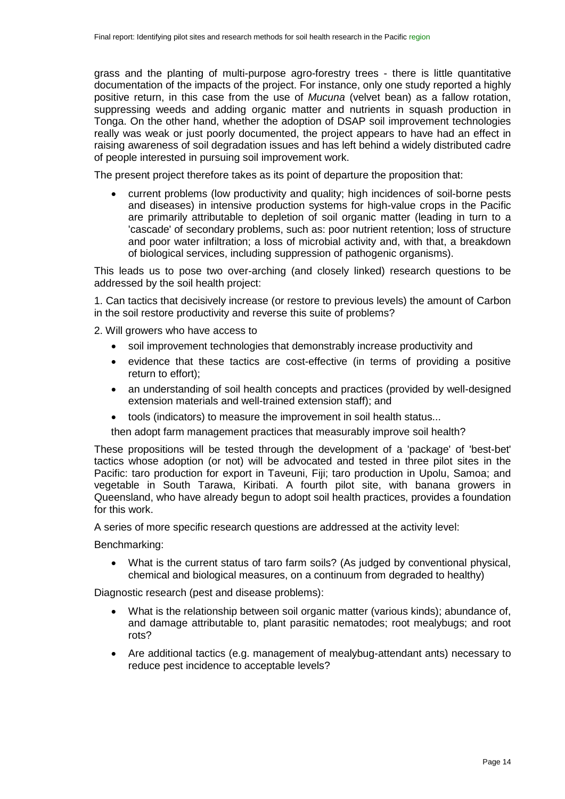grass and the planting of multi-purpose agro-forestry trees - there is little quantitative documentation of the impacts of the project. For instance, only one study reported a highly positive return, in this case from the use of *Mucuna* (velvet bean) as a fallow rotation, suppressing weeds and adding organic matter and nutrients in squash production in Tonga. On the other hand, whether the adoption of DSAP soil improvement technologies really was weak or just poorly documented, the project appears to have had an effect in raising awareness of soil degradation issues and has left behind a widely distributed cadre of people interested in pursuing soil improvement work.

The present project therefore takes as its point of departure the proposition that:

• current problems (low productivity and quality; high incidences of soil-borne pests and diseases) in intensive production systems for high-value crops in the Pacific are primarily attributable to depletion of soil organic matter (leading in turn to a 'cascade' of secondary problems, such as: poor nutrient retention; loss of structure and poor water infiltration; a loss of microbial activity and, with that, a breakdown of biological services, including suppression of pathogenic organisms).

This leads us to pose two over-arching (and closely linked) research questions to be addressed by the soil health project:

1. Can tactics that decisively increase (or restore to previous levels) the amount of Carbon in the soil restore productivity and reverse this suite of problems?

- 2. Will growers who have access to
	- soil improvement technologies that demonstrably increase productivity and
	- evidence that these tactics are cost-effective (in terms of providing a positive return to effort);
	- an understanding of soil health concepts and practices (provided by well-designed extension materials and well-trained extension staff); and
	- tools (indicators) to measure the improvement in soil health status...

then adopt farm management practices that measurably improve soil health?

These propositions will be tested through the development of a 'package' of 'best-bet' tactics whose adoption (or not) will be advocated and tested in three pilot sites in the Pacific: taro production for export in Taveuni, Fiji: taro production in Upolu, Samoa; and vegetable in South Tarawa, Kiribati. A fourth pilot site, with banana growers in Queensland, who have already begun to adopt soil health practices, provides a foundation for this work.

A series of more specific research questions are addressed at the activity level:

Benchmarking:

• What is the current status of taro farm soils? (As judged by conventional physical, chemical and biological measures, on a continuum from degraded to healthy)

Diagnostic research (pest and disease problems):

- What is the relationship between soil organic matter (various kinds); abundance of, and damage attributable to, plant parasitic nematodes; root mealybugs; and root rots?
- Are additional tactics (e.g. management of mealybug-attendant ants) necessary to reduce pest incidence to acceptable levels?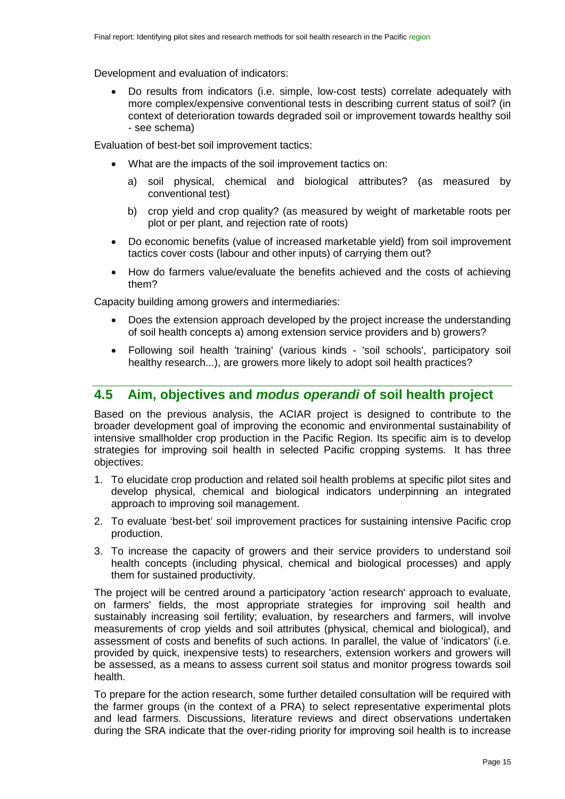Development and evaluation of indicators:

• Do results from indicators (i.e. simple, low-cost tests) correlate adequately with more complex/expensive conventional tests in describing current status of soil? (in context of deterioration towards degraded soil or improvement towards healthy soil - see schema)

Evaluation of best-bet soil improvement tactics:

- What are the impacts of the soil improvement tactics on:
	- a) soil physical, chemical and biological attributes? (as measured by conventional test)
	- b) crop yield and crop quality? (as measured by weight of marketable roots per plot or per plant, and rejection rate of roots)
- Do economic benefits (value of increased marketable yield) from soil improvement tactics cover costs (labour and other inputs) of carrying them out?
- How do farmers value/evaluate the benefits achieved and the costs of achieving them?

Capacity building among growers and intermediaries:

- Does the extension approach developed by the project increase the understanding of soil health concepts a) among extension service providers and b) growers?
- Following soil health 'training' (various kinds 'soil schools', participatory soil healthy research...), are growers more likely to adopt soil health practices?

## <span id="page-14-0"></span>**4.5 Aim, objectives and** *modus operandi* **of soil health project**

Based on the previous analysis, the ACIAR project is designed to contribute to the broader development goal of improving the economic and environmental sustainability of intensive smallholder crop production in the Pacific Region. Its specific aim is to develop strategies for improving soil health in selected Pacific cropping systems. It has three objectives:

- 1. To elucidate crop production and related soil health problems at specific pilot sites and develop physical, chemical and biological indicators underpinning an integrated approach to improving soil management.
- 2. To evaluate 'best-bet' soil improvement practices for sustaining intensive Pacific crop production.
- 3. To increase the capacity of growers and their service providers to understand soil health concepts (including physical, chemical and biological processes) and apply them for sustained productivity.

The project will be centred around a participatory 'action research' approach to evaluate, on farmers' fields, the most appropriate strategies for improving soil health and sustainably increasing soil fertility; evaluation, by researchers and farmers, will involve measurements of crop yields and soil attributes (physical, chemical and biological), and assessment of costs and benefits of such actions. In parallel, the value of 'indicators' (i.e. provided by quick, inexpensive tests) to researchers, extension workers and growers will be assessed, as a means to assess current soil status and monitor progress towards soil health.

To prepare for the action research, some further detailed consultation will be required with the farmer groups (in the context of a PRA) to select representative experimental plots and lead farmers. Discussions, literature reviews and direct observations undertaken during the SRA indicate that the over-riding priority for improving soil health is to increase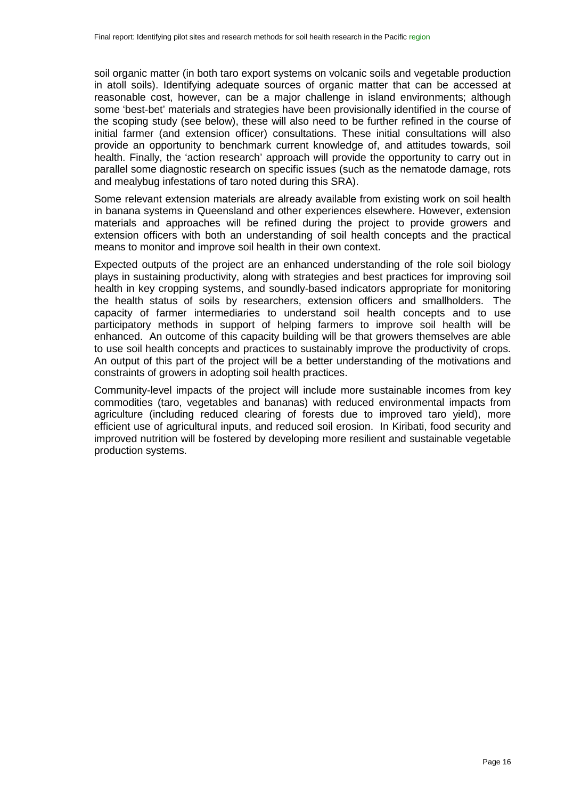soil organic matter (in both taro export systems on volcanic soils and vegetable production in atoll soils). Identifying adequate sources of organic matter that can be accessed at reasonable cost, however, can be a major challenge in island environments; although some 'best-bet' materials and strategies have been provisionally identified in the course of the scoping study (see below), these will also need to be further refined in the course of initial farmer (and extension officer) consultations. These initial consultations will also provide an opportunity to benchmark current knowledge of, and attitudes towards, soil health. Finally, the 'action research' approach will provide the opportunity to carry out in parallel some diagnostic research on specific issues (such as the nematode damage, rots and mealybug infestations of taro noted during this SRA).

Some relevant extension materials are already available from existing work on soil health in banana systems in Queensland and other experiences elsewhere. However, extension materials and approaches will be refined during the project to provide growers and extension officers with both an understanding of soil health concepts and the practical means to monitor and improve soil health in their own context.

Expected outputs of the project are an enhanced understanding of the role soil biology plays in sustaining productivity, along with strategies and best practices for improving soil health in key cropping systems, and soundly-based indicators appropriate for monitoring the health status of soils by researchers, extension officers and smallholders. The capacity of farmer intermediaries to understand soil health concepts and to use participatory methods in support of helping farmers to improve soil health will be enhanced. An outcome of this capacity building will be that growers themselves are able to use soil health concepts and practices to sustainably improve the productivity of crops. An output of this part of the project will be a better understanding of the motivations and constraints of growers in adopting soil health practices.

Community-level impacts of the project will include more sustainable incomes from key commodities (taro, vegetables and bananas) with reduced environmental impacts from agriculture (including reduced clearing of forests due to improved taro yield), more efficient use of agricultural inputs, and reduced soil erosion. In Kiribati, food security and improved nutrition will be fostered by developing more resilient and sustainable vegetable production systems.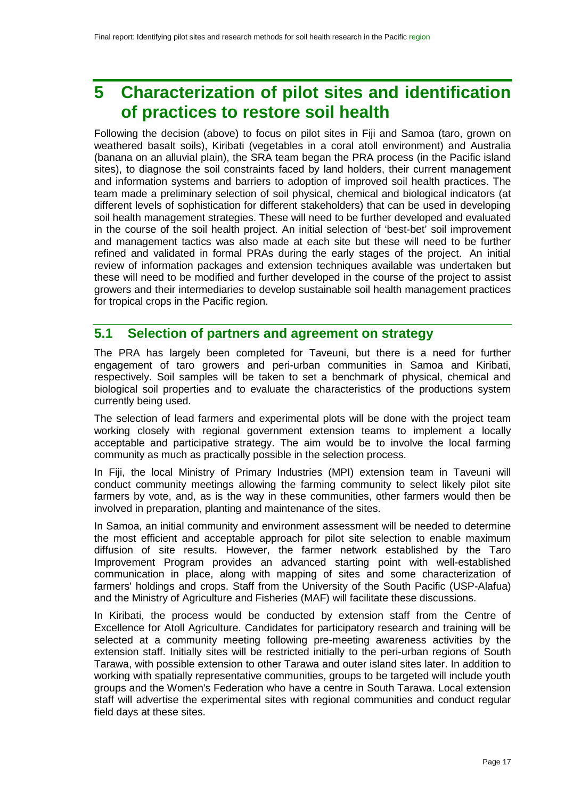# <span id="page-16-0"></span>**5 Characterization of pilot sites and identification of practices to restore soil health**

Following the decision (above) to focus on pilot sites in Fiji and Samoa (taro, grown on weathered basalt soils), Kiribati (vegetables in a coral atoll environment) and Australia (banana on an alluvial plain), the SRA team began the PRA process (in the Pacific island sites), to diagnose the soil constraints faced by land holders, their current management and information systems and barriers to adoption of improved soil health practices. The team made a preliminary selection of soil physical, chemical and biological indicators (at different levels of sophistication for different stakeholders) that can be used in developing soil health management strategies. These will need to be further developed and evaluated in the course of the soil health project. An initial selection of 'best-bet' soil improvement and management tactics was also made at each site but these will need to be further refined and validated in formal PRAs during the early stages of the project. An initial review of information packages and extension techniques available was undertaken but these will need to be modified and further developed in the course of the project to assist growers and their intermediaries to develop sustainable soil health management practices for tropical crops in the Pacific region.

## <span id="page-16-1"></span>**5.1 Selection of partners and agreement on strategy**

The PRA has largely been completed for Taveuni, but there is a need for further engagement of taro growers and peri-urban communities in Samoa and Kiribati, respectively. Soil samples will be taken to set a benchmark of physical, chemical and biological soil properties and to evaluate the characteristics of the productions system currently being used.

The selection of lead farmers and experimental plots will be done with the project team working closely with regional government extension teams to implement a locally acceptable and participative strategy. The aim would be to involve the local farming community as much as practically possible in the selection process.

In Fiji, the local Ministry of Primary Industries (MPI) extension team in Taveuni will conduct community meetings allowing the farming community to select likely pilot site farmers by vote, and, as is the way in these communities, other farmers would then be involved in preparation, planting and maintenance of the sites.

In Samoa, an initial community and environment assessment will be needed to determine the most efficient and acceptable approach for pilot site selection to enable maximum diffusion of site results. However, the farmer network established by the Taro Improvement Program provides an advanced starting point with well-established communication in place, along with mapping of sites and some characterization of farmers' holdings and crops. Staff from the University of the South Pacific (USP-Alafua) and the Ministry of Agriculture and Fisheries (MAF) will facilitate these discussions.

In Kiribati, the process would be conducted by extension staff from the Centre of Excellence for Atoll Agriculture. Candidates for participatory research and training will be selected at a community meeting following pre-meeting awareness activities by the extension staff. Initially sites will be restricted initially to the peri-urban regions of South Tarawa, with possible extension to other Tarawa and outer island sites later. In addition to working with spatially representative communities, groups to be targeted will include youth groups and the Women's Federation who have a centre in South Tarawa. Local extension staff will advertise the experimental sites with regional communities and conduct regular field days at these sites.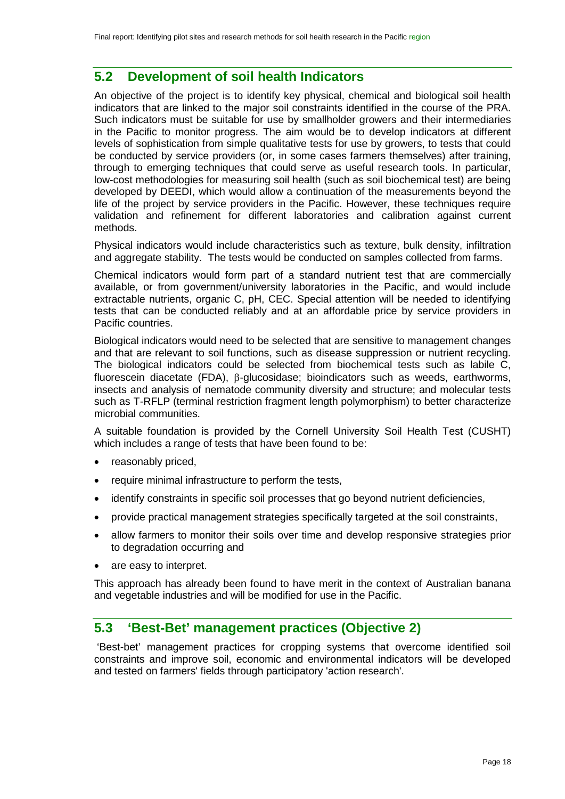## <span id="page-17-0"></span>**5.2 Development of soil health Indicators**

An objective of the project is to identify key physical, chemical and biological soil health indicators that are linked to the major soil constraints identified in the course of the PRA. Such indicators must be suitable for use by smallholder growers and their intermediaries in the Pacific to monitor progress. The aim would be to develop indicators at different levels of sophistication from simple qualitative tests for use by growers, to tests that could be conducted by service providers (or, in some cases farmers themselves) after training, through to emerging techniques that could serve as useful research tools. In particular, low-cost methodologies for measuring soil health (such as soil biochemical test) are being developed by DEEDI, which would allow a continuation of the measurements beyond the life of the project by service providers in the Pacific. However, these techniques require validation and refinement for different laboratories and calibration against current methods.

Physical indicators would include characteristics such as texture, bulk density, infiltration and aggregate stability. The tests would be conducted on samples collected from farms.

Chemical indicators would form part of a standard nutrient test that are commercially available, or from government/university laboratories in the Pacific, and would include extractable nutrients, organic C, pH, CEC. Special attention will be needed to identifying tests that can be conducted reliably and at an affordable price by service providers in Pacific countries.

Biological indicators would need to be selected that are sensitive to management changes and that are relevant to soil functions, such as disease suppression or nutrient recycling. The biological indicators could be selected from biochemical tests such as labile C, fluorescein diacetate (FDA), β-glucosidase; bioindicators such as weeds, earthworms, insects and analysis of nematode community diversity and structure; and molecular tests such as T-RFLP (terminal restriction fragment length polymorphism) to better characterize microbial communities.

A suitable foundation is provided by the Cornell University Soil Health Test (CUSHT) which includes a range of tests that have been found to be:

- reasonably priced,
- require minimal infrastructure to perform the tests,
- identify constraints in specific soil processes that go beyond nutrient deficiencies,
- provide practical management strategies specifically targeted at the soil constraints,
- allow farmers to monitor their soils over time and develop responsive strategies prior to degradation occurring and
- are easy to interpret.

This approach has already been found to have merit in the context of Australian banana and vegetable industries and will be modified for use in the Pacific.

## <span id="page-17-1"></span>**5.3 'Best-Bet' management practices (Objective 2)**

'Best-bet' management practices for cropping systems that overcome identified soil constraints and improve soil, economic and environmental indicators will be developed and tested on farmers' fields through participatory 'action research'.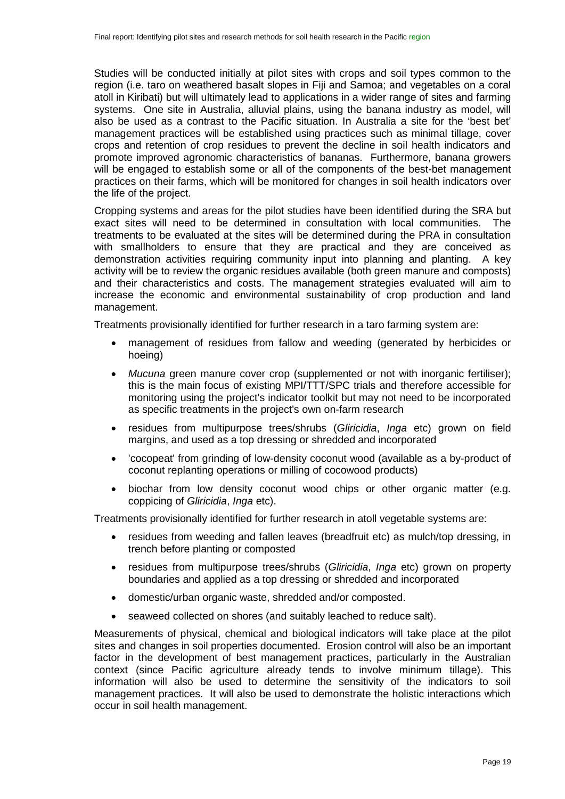Studies will be conducted initially at pilot sites with crops and soil types common to the region (i.e. taro on weathered basalt slopes in Fiji and Samoa; and vegetables on a coral atoll in Kiribati) but will ultimately lead to applications in a wider range of sites and farming systems. One site in Australia, alluvial plains, using the banana industry as model, will also be used as a contrast to the Pacific situation. In Australia a site for the 'best bet' management practices will be established using practices such as minimal tillage, cover crops and retention of crop residues to prevent the decline in soil health indicators and promote improved agronomic characteristics of bananas. Furthermore, banana growers will be engaged to establish some or all of the components of the best-bet management practices on their farms, which will be monitored for changes in soil health indicators over the life of the project.

Cropping systems and areas for the pilot studies have been identified during the SRA but exact sites will need to be determined in consultation with local communities. The treatments to be evaluated at the sites will be determined during the PRA in consultation with smallholders to ensure that they are practical and they are conceived as demonstration activities requiring community input into planning and planting. A key activity will be to review the organic residues available (both green manure and composts) and their characteristics and costs. The management strategies evaluated will aim to increase the economic and environmental sustainability of crop production and land management.

Treatments provisionally identified for further research in a taro farming system are:

- management of residues from fallow and weeding (generated by herbicides or hoeing)
- *Mucuna* green manure cover crop (supplemented or not with inorganic fertiliser); this is the main focus of existing MPI/TTT/SPC trials and therefore accessible for monitoring using the project's indicator toolkit but may not need to be incorporated as specific treatments in the project's own on-farm research
- residues from multipurpose trees/shrubs (*Gliricidia*, *Inga* etc) grown on field margins, and used as a top dressing or shredded and incorporated
- 'cocopeat' from grinding of low-density coconut wood (available as a by-product of coconut replanting operations or milling of cocowood products)
- biochar from low density coconut wood chips or other organic matter (e.g. coppicing of *Gliricidia*, *Inga* etc).

Treatments provisionally identified for further research in atoll vegetable systems are:

- residues from weeding and fallen leaves (breadfruit etc) as mulch/top dressing, in trench before planting or composted
- residues from multipurpose trees/shrubs (*Gliricidia*, *Inga* etc) grown on property boundaries and applied as a top dressing or shredded and incorporated
- domestic/urban organic waste, shredded and/or composted.
- seaweed collected on shores (and suitably leached to reduce salt).

Measurements of physical, chemical and biological indicators will take place at the pilot sites and changes in soil properties documented. Erosion control will also be an important factor in the development of best management practices, particularly in the Australian context (since Pacific agriculture already tends to involve minimum tillage). This information will also be used to determine the sensitivity of the indicators to soil management practices. It will also be used to demonstrate the holistic interactions which occur in soil health management.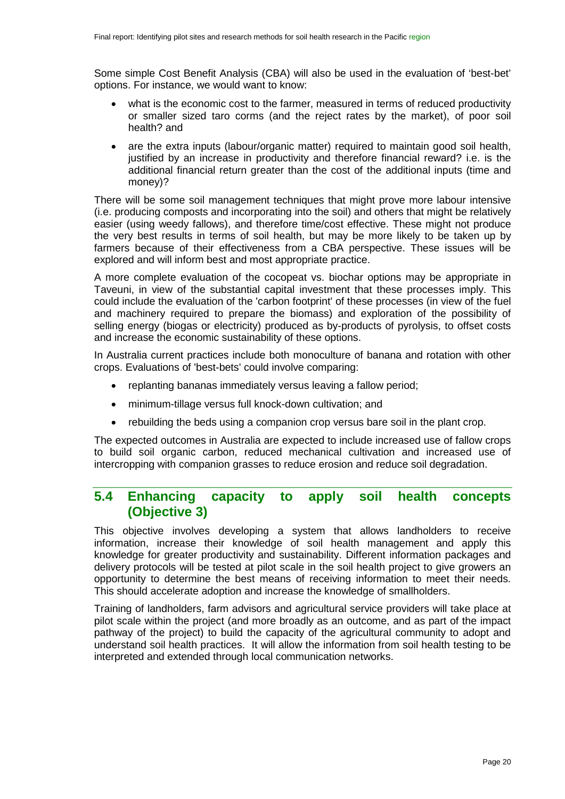Some simple Cost Benefit Analysis (CBA) will also be used in the evaluation of 'best-bet' options. For instance, we would want to know:

- what is the economic cost to the farmer, measured in terms of reduced productivity or smaller sized taro corms (and the reject rates by the market), of poor soil health? and
- are the extra inputs (labour/organic matter) required to maintain good soil health, justified by an increase in productivity and therefore financial reward? i.e. is the additional financial return greater than the cost of the additional inputs (time and money)?

There will be some soil management techniques that might prove more labour intensive (i.e. producing composts and incorporating into the soil) and others that might be relatively easier (using weedy fallows), and therefore time/cost effective. These might not produce the very best results in terms of soil health, but may be more likely to be taken up by farmers because of their effectiveness from a CBA perspective. These issues will be explored and will inform best and most appropriate practice.

A more complete evaluation of the cocopeat vs. biochar options may be appropriate in Taveuni, in view of the substantial capital investment that these processes imply. This could include the evaluation of the 'carbon footprint' of these processes (in view of the fuel and machinery required to prepare the biomass) and exploration of the possibility of selling energy (biogas or electricity) produced as by-products of pyrolysis, to offset costs and increase the economic sustainability of these options.

In Australia current practices include both monoculture of banana and rotation with other crops. Evaluations of 'best-bets' could involve comparing:

- replanting bananas immediately versus leaving a fallow period;
- minimum-tillage versus full knock-down cultivation; and
- rebuilding the beds using a companion crop versus bare soil in the plant crop.

The expected outcomes in Australia are expected to include increased use of fallow crops to build soil organic carbon, reduced mechanical cultivation and increased use of intercropping with companion grasses to reduce erosion and reduce soil degradation.

## <span id="page-19-0"></span>**5.4 Enhancing capacity to apply soil health concepts (Objective 3)**

This objective involves developing a system that allows landholders to receive information, increase their knowledge of soil health management and apply this knowledge for greater productivity and sustainability. Different information packages and delivery protocols will be tested at pilot scale in the soil health project to give growers an opportunity to determine the best means of receiving information to meet their needs. This should accelerate adoption and increase the knowledge of smallholders.

Training of landholders, farm advisors and agricultural service providers will take place at pilot scale within the project (and more broadly as an outcome, and as part of the impact pathway of the project) to build the capacity of the agricultural community to adopt and understand soil health practices. It will allow the information from soil health testing to be interpreted and extended through local communication networks.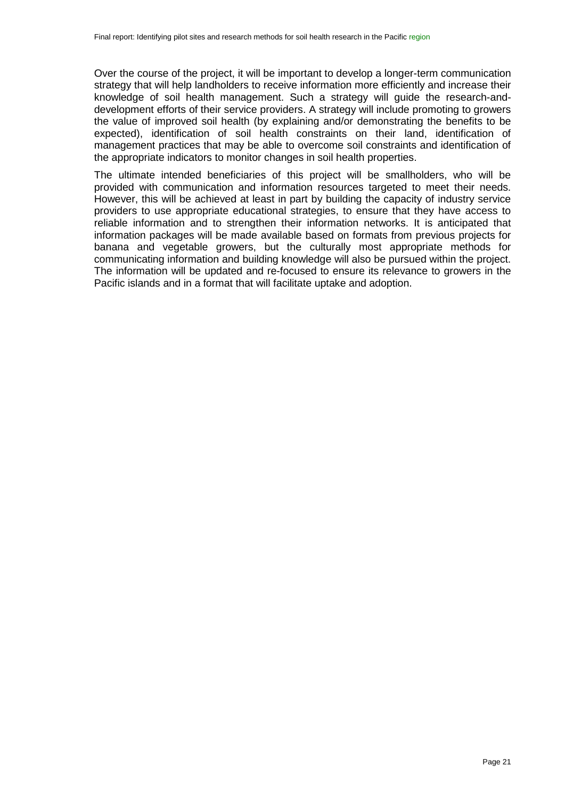Over the course of the project, it will be important to develop a longer-term communication strategy that will help landholders to receive information more efficiently and increase their knowledge of soil health management. Such a strategy will guide the research-anddevelopment efforts of their service providers. A strategy will include promoting to growers the value of improved soil health (by explaining and/or demonstrating the benefits to be expected), identification of soil health constraints on their land, identification of management practices that may be able to overcome soil constraints and identification of the appropriate indicators to monitor changes in soil health properties.

The ultimate intended beneficiaries of this project will be smallholders, who will be provided with communication and information resources targeted to meet their needs. However, this will be achieved at least in part by building the capacity of industry service providers to use appropriate educational strategies, to ensure that they have access to reliable information and to strengthen their information networks. It is anticipated that information packages will be made available based on formats from previous projects for banana and vegetable growers, but the culturally most appropriate methods for communicating information and building knowledge will also be pursued within the project. The information will be updated and re-focused to ensure its relevance to growers in the Pacific islands and in a format that will facilitate uptake and adoption.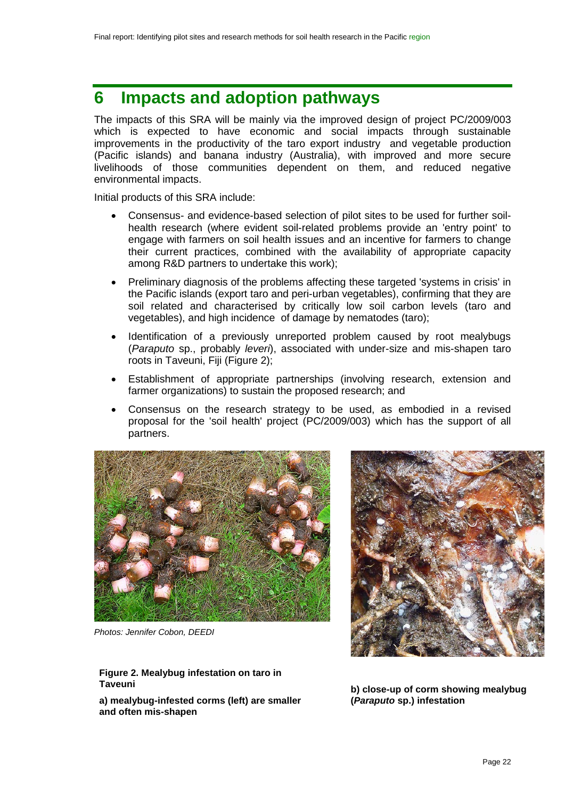# <span id="page-21-0"></span>**6 Impacts and adoption pathways**

The impacts of this SRA will be mainly via the improved design of project PC/2009/003 which is expected to have economic and social impacts through sustainable improvements in the productivity of the taro export industry and vegetable production (Pacific islands) and banana industry (Australia), with improved and more secure livelihoods of those communities dependent on them, and reduced negative environmental impacts.

Initial products of this SRA include:

- Consensus- and evidence-based selection of pilot sites to be used for further soilhealth research (where evident soil-related problems provide an 'entry point' to engage with farmers on soil health issues and an incentive for farmers to change their current practices, combined with the availability of appropriate capacity among R&D partners to undertake this work);
- Preliminary diagnosis of the problems affecting these targeted 'systems in crisis' in the Pacific islands (export taro and peri-urban vegetables), confirming that they are soil related and characterised by critically low soil carbon levels (taro and vegetables), and high incidence of damage by nematodes (taro);
- Identification of a previously unreported problem caused by root mealybugs (*Paraputo* sp., probably *leveri*), associated with under-size and mis-shapen taro roots in Taveuni, Fiji (Figure 2);
- Establishment of appropriate partnerships (involving research, extension and farmer organizations) to sustain the proposed research; and
- Consensus on the research strategy to be used, as embodied in a revised proposal for the 'soil health' project (PC/2009/003) which has the support of all partners.



*Photos: Jennifer Cobon, DEEDI*

#### **Figure 2. Mealybug infestation on taro in Taveuni**

**a) mealybug-infested corms (left) are smaller and often mis-shapen**



**b) close-up of corm showing mealybug (***Paraputo* **sp.) infestation**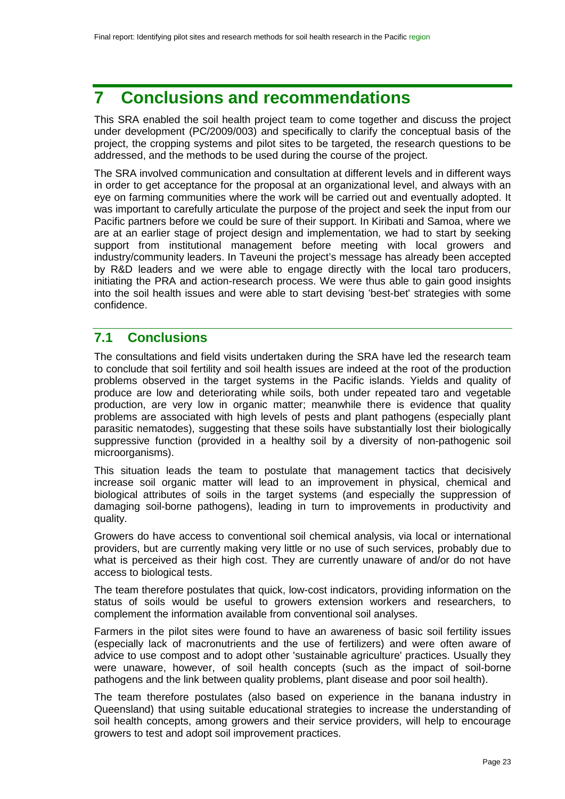# <span id="page-22-0"></span>**7 Conclusions and recommendations**

This SRA enabled the soil health project team to come together and discuss the project under development (PC/2009/003) and specifically to clarify the conceptual basis of the project, the cropping systems and pilot sites to be targeted, the research questions to be addressed, and the methods to be used during the course of the project.

The SRA involved communication and consultation at different levels and in different ways in order to get acceptance for the proposal at an organizational level, and always with an eye on farming communities where the work will be carried out and eventually adopted. It was important to carefully articulate the purpose of the project and seek the input from our Pacific partners before we could be sure of their support. In Kiribati and Samoa, where we are at an earlier stage of project design and implementation, we had to start by seeking support from institutional management before meeting with local growers and industry/community leaders. In Taveuni the project's message has already been accepted by R&D leaders and we were able to engage directly with the local taro producers, initiating the PRA and action-research process. We were thus able to gain good insights into the soil health issues and were able to start devising 'best-bet' strategies with some confidence.

# <span id="page-22-1"></span>**7.1 Conclusions**

The consultations and field visits undertaken during the SRA have led the research team to conclude that soil fertility and soil health issues are indeed at the root of the production problems observed in the target systems in the Pacific islands. Yields and quality of produce are low and deteriorating while soils, both under repeated taro and vegetable production, are very low in organic matter; meanwhile there is evidence that quality problems are associated with high levels of pests and plant pathogens (especially plant parasitic nematodes), suggesting that these soils have substantially lost their biologically suppressive function (provided in a healthy soil by a diversity of non-pathogenic soil microorganisms).

This situation leads the team to postulate that management tactics that decisively increase soil organic matter will lead to an improvement in physical, chemical and biological attributes of soils in the target systems (and especially the suppression of damaging soil-borne pathogens), leading in turn to improvements in productivity and quality.

Growers do have access to conventional soil chemical analysis, via local or international providers, but are currently making very little or no use of such services, probably due to what is perceived as their high cost. They are currently unaware of and/or do not have access to biological tests.

The team therefore postulates that quick, low-cost indicators, providing information on the status of soils would be useful to growers extension workers and researchers, to complement the information available from conventional soil analyses.

Farmers in the pilot sites were found to have an awareness of basic soil fertility issues (especially lack of macronutrients and the use of fertilizers) and were often aware of advice to use compost and to adopt other 'sustainable agriculture' practices. Usually they were unaware, however, of soil health concepts (such as the impact of soil-borne pathogens and the link between quality problems, plant disease and poor soil health).

The team therefore postulates (also based on experience in the banana industry in Queensland) that using suitable educational strategies to increase the understanding of soil health concepts, among growers and their service providers, will help to encourage growers to test and adopt soil improvement practices.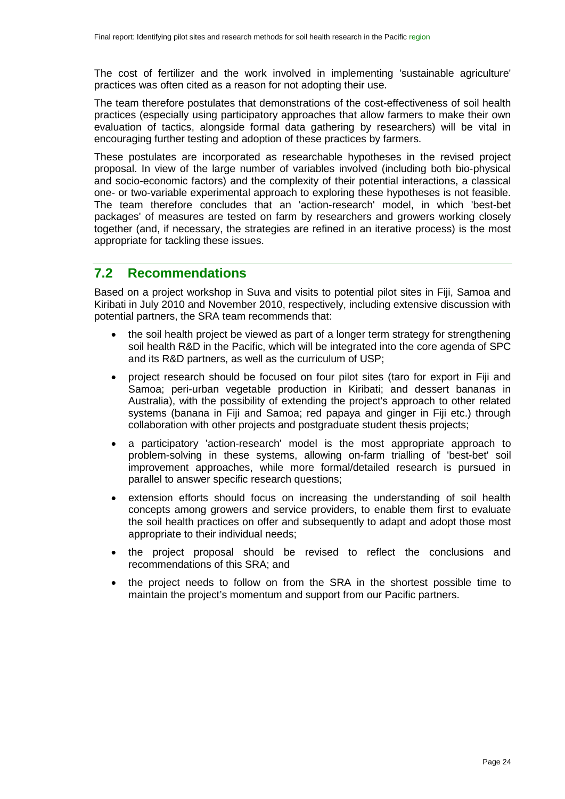The cost of fertilizer and the work involved in implementing 'sustainable agriculture' practices was often cited as a reason for not adopting their use.

The team therefore postulates that demonstrations of the cost-effectiveness of soil health practices (especially using participatory approaches that allow farmers to make their own evaluation of tactics, alongside formal data gathering by researchers) will be vital in encouraging further testing and adoption of these practices by farmers.

These postulates are incorporated as researchable hypotheses in the revised project proposal. In view of the large number of variables involved (including both bio-physical and socio-economic factors) and the complexity of their potential interactions, a classical one- or two-variable experimental approach to exploring these hypotheses is not feasible. The team therefore concludes that an 'action-research' model, in which 'best-bet packages' of measures are tested on farm by researchers and growers working closely together (and, if necessary, the strategies are refined in an iterative process) is the most appropriate for tackling these issues.

## <span id="page-23-0"></span>**7.2 Recommendations**

Based on a project workshop in Suva and visits to potential pilot sites in Fiji, Samoa and Kiribati in July 2010 and November 2010, respectively, including extensive discussion with potential partners, the SRA team recommends that:

- the soil health project be viewed as part of a longer term strategy for strengthening soil health R&D in the Pacific, which will be integrated into the core agenda of SPC and its R&D partners, as well as the curriculum of USP;
- project research should be focused on four pilot sites (taro for export in Fiji and Samoa; peri-urban vegetable production in Kiribati; and dessert bananas in Australia), with the possibility of extending the project's approach to other related systems (banana in Fiji and Samoa; red papaya and ginger in Fiji etc.) through collaboration with other projects and postgraduate student thesis projects;
- a participatory 'action-research' model is the most appropriate approach to problem-solving in these systems, allowing on-farm trialling of 'best-bet' soil improvement approaches, while more formal/detailed research is pursued in parallel to answer specific research questions;
- extension efforts should focus on increasing the understanding of soil health concepts among growers and service providers, to enable them first to evaluate the soil health practices on offer and subsequently to adapt and adopt those most appropriate to their individual needs;
- the project proposal should be revised to reflect the conclusions and recommendations of this SRA; and
- the project needs to follow on from the SRA in the shortest possible time to maintain the project's momentum and support from our Pacific partners.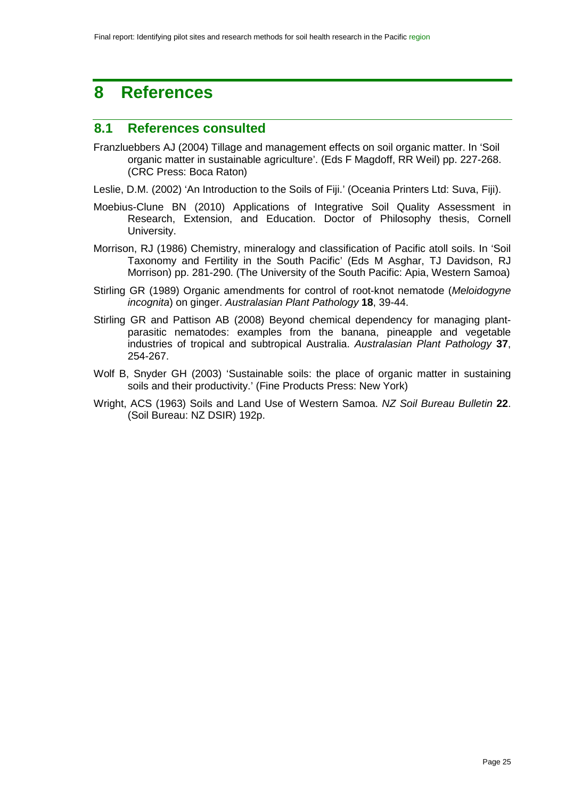# <span id="page-24-0"></span>**8 References**

# <span id="page-24-1"></span>**8.1 References consulted**

- Franzluebbers AJ (2004) Tillage and management effects on soil organic matter. In 'Soil organic matter in sustainable agriculture'. (Eds F Magdoff, RR Weil) pp. 227-268. (CRC Press: Boca Raton)
- Leslie, D.M. (2002) 'An Introduction to the Soils of Fiji.' (Oceania Printers Ltd: Suva, Fiji).
- Moebius-Clune BN (2010) Applications of Integrative Soil Quality Assessment in Research, Extension, and Education. Doctor of Philosophy thesis, Cornell University.
- Morrison, RJ (1986) Chemistry, mineralogy and classification of Pacific atoll soils. In 'Soil Taxonomy and Fertility in the South Pacific' (Eds M Asghar, TJ Davidson, RJ Morrison) pp. 281-290. (The University of the South Pacific: Apia, Western Samoa)
- Stirling GR (1989) Organic amendments for control of root-knot nematode (*Meloidogyne incognita*) on ginger. *Australasian Plant Pathology* **18**, 39-44.
- Stirling GR and Pattison AB (2008) Beyond chemical dependency for managing plantparasitic nematodes: examples from the banana, pineapple and vegetable industries of tropical and subtropical Australia. *Australasian Plant Pathology* **37**, 254-267.
- Wolf B, Snyder GH (2003) 'Sustainable soils: the place of organic matter in sustaining soils and their productivity.' (Fine Products Press: New York)
- Wright, ACS (1963) Soils and Land Use of Western Samoa. *NZ Soil Bureau Bulletin* **22**. (Soil Bureau: NZ DSIR) 192p.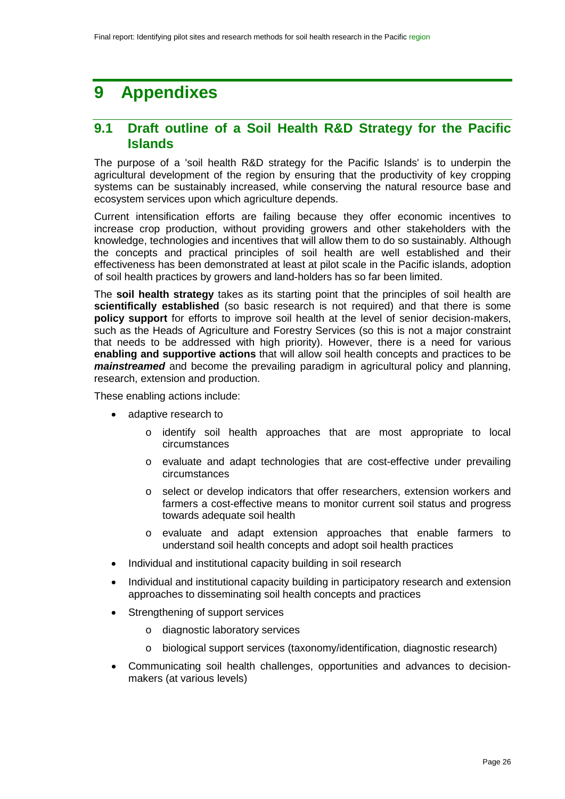# <span id="page-25-0"></span>**9 Appendixes**

## <span id="page-25-1"></span>**9.1 Draft outline of a Soil Health R&D Strategy for the Pacific Islands**

The purpose of a 'soil health R&D strategy for the Pacific Islands' is to underpin the agricultural development of the region by ensuring that the productivity of key cropping systems can be sustainably increased, while conserving the natural resource base and ecosystem services upon which agriculture depends.

Current intensification efforts are failing because they offer economic incentives to increase crop production, without providing growers and other stakeholders with the knowledge, technologies and incentives that will allow them to do so sustainably. Although the concepts and practical principles of soil health are well established and their effectiveness has been demonstrated at least at pilot scale in the Pacific islands, adoption of soil health practices by growers and land-holders has so far been limited.

The **soil health strategy** takes as its starting point that the principles of soil health are **scientifically established** (so basic research is not required) and that there is some **policy support** for efforts to improve soil health at the level of senior decision-makers, such as the Heads of Agriculture and Forestry Services (so this is not a major constraint that needs to be addressed with high priority). However, there is a need for various **enabling and supportive actions** that will allow soil health concepts and practices to be *mainstreamed* and become the prevailing paradigm in agricultural policy and planning, research, extension and production.

These enabling actions include:

- adaptive research to
	- o identify soil health approaches that are most appropriate to local circumstances
	- o evaluate and adapt technologies that are cost-effective under prevailing circumstances
	- o select or develop indicators that offer researchers, extension workers and farmers a cost-effective means to monitor current soil status and progress towards adequate soil health
	- o evaluate and adapt extension approaches that enable farmers to understand soil health concepts and adopt soil health practices
- Individual and institutional capacity building in soil research
- Individual and institutional capacity building in participatory research and extension approaches to disseminating soil health concepts and practices
- Strengthening of support services
	- o diagnostic laboratory services
	- o biological support services (taxonomy/identification, diagnostic research)
- Communicating soil health challenges, opportunities and advances to decisionmakers (at various levels)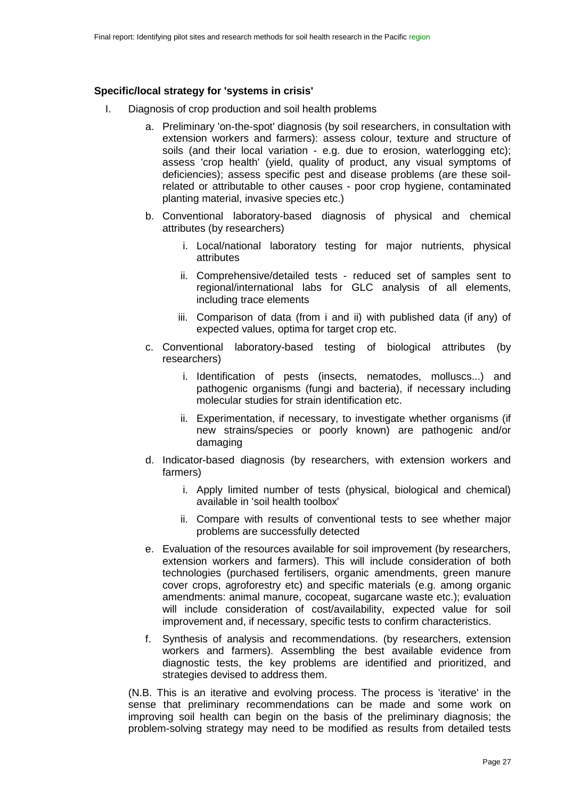#### **Specific/local strategy for 'systems in crisis'**

- I. Diagnosis of crop production and soil health problems
	- a. Preliminary 'on-the-spot' diagnosis (by soil researchers, in consultation with extension workers and farmers): assess colour, texture and structure of soils (and their local variation - e.g. due to erosion, waterlogging etc); assess 'crop health' (yield, quality of product, any visual symptoms of deficiencies); assess specific pest and disease problems (are these soilrelated or attributable to other causes - poor crop hygiene, contaminated planting material, invasive species etc.)
	- b. Conventional laboratory-based diagnosis of physical and chemical attributes (by researchers)
		- i. Local/national laboratory testing for major nutrients, physical attributes
		- ii. Comprehensive/detailed tests reduced set of samples sent to regional/international labs for GLC analysis of all elements, including trace elements
		- iii. Comparison of data (from i and ii) with published data (if any) of expected values, optima for target crop etc.
	- c. Conventional laboratory-based testing of biological attributes (by researchers)
		- i. Identification of pests (insects, nematodes, molluscs...) and pathogenic organisms (fungi and bacteria), if necessary including molecular studies for strain identification etc.
		- ii. Experimentation, if necessary, to investigate whether organisms (if new strains/species or poorly known) are pathogenic and/or damaging
	- d. Indicator-based diagnosis (by researchers, with extension workers and farmers)
		- i. Apply limited number of tests (physical, biological and chemical) available in 'soil health toolbox'
		- ii. Compare with results of conventional tests to see whether major problems are successfully detected
	- e. Evaluation of the resources available for soil improvement (by researchers, extension workers and farmers). This will include consideration of both technologies (purchased fertilisers, organic amendments, green manure cover crops, agroforestry etc) and specific materials (e.g. among organic amendments: animal manure, cocopeat, sugarcane waste etc.); evaluation will include consideration of cost/availability, expected value for soil improvement and, if necessary, specific tests to confirm characteristics.
	- f. Synthesis of analysis and recommendations. (by researchers, extension workers and farmers). Assembling the best available evidence from diagnostic tests, the key problems are identified and prioritized, and strategies devised to address them.

(N.B. This is an iterative and evolving process. The process is 'iterative' in the sense that preliminary recommendations can be made and some work on improving soil health can begin on the basis of the preliminary diagnosis; the problem-solving strategy may need to be modified as results from detailed tests